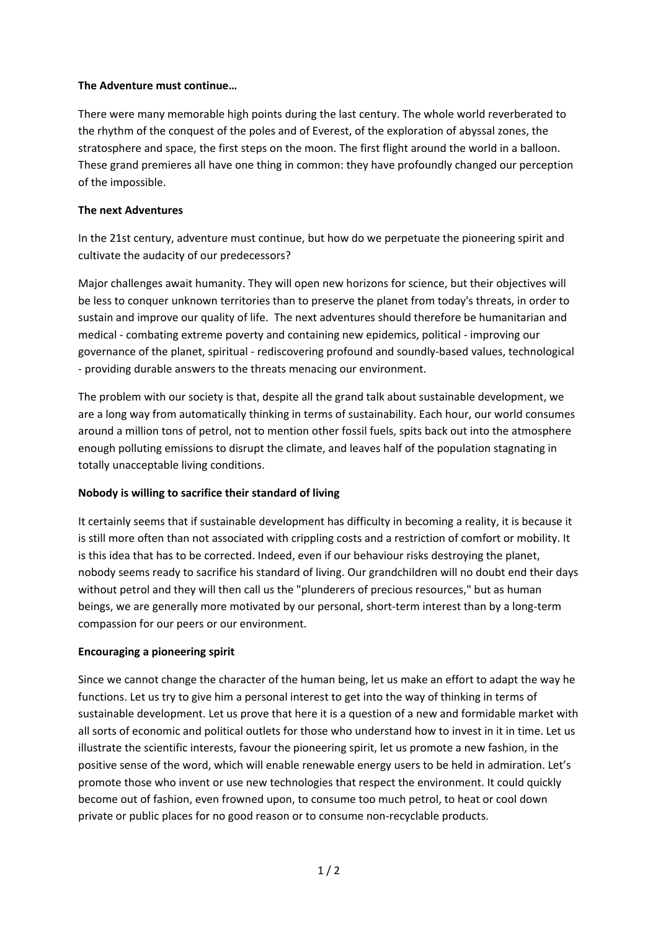#### **The Adventure must continue…**

There were many memorable high points during the last century. The whole world reverberated to the rhythm of the conquest of the poles and of Everest, of the exploration of abyssal zones, the stratosphere and space, the first steps on the moon. The first flight around the world in a balloon. These grand premieres all have one thing in common: they have profoundly changed our perception of the impossible.

#### **The next Adventures**

In the 21st century, adventure must continue, but how do we perpetuate the pioneering spirit and cultivate the audacity of our predecessors?

Major challenges await humanity. They will open new horizons for science, but their objectives will be less to conquer unknown territories than to preserve the planet from today's threats, in order to sustain and improve our quality of life. The next adventures should therefore be humanitarian and medical ‐ combating extreme poverty and containing new epidemics, political ‐ improving our governance of the planet, spiritual ‐ rediscovering profound and soundly‐based values, technological ‐ providing durable answers to the threats menacing our environment.

The problem with our society is that, despite all the grand talk about sustainable development, we are a long way from automatically thinking in terms of sustainability. Each hour, our world consumes around a million tons of petrol, not to mention other fossil fuels, spits back out into the atmosphere enough polluting emissions to disrupt the climate, and leaves half of the population stagnating in totally unacceptable living conditions.

## **Nobody is willing to sacrifice their standard of living**

It certainly seems that if sustainable development has difficulty in becoming a reality, it is because it is still more often than not associated with crippling costs and a restriction of comfort or mobility. It is this idea that has to be corrected. Indeed, even if our behaviour risks destroying the planet, nobody seems ready to sacrifice his standard of living. Our grandchildren will no doubt end their days without petrol and they will then call us the "plunderers of precious resources," but as human beings, we are generally more motivated by our personal, short-term interest than by a long-term compassion for our peers or our environment.

## **Encouraging a pioneering spirit**

Since we cannot change the character of the human being, let us make an effort to adapt the way he functions. Let us try to give him a personal interest to get into the way of thinking in terms of sustainable development. Let us prove that here it is a question of a new and formidable market with all sorts of economic and political outlets for those who understand how to invest in it in time. Let us illustrate the scientific interests, favour the pioneering spirit, let us promote a new fashion, in the positive sense of the word, which will enable renewable energy users to be held in admiration. Let's promote those who invent or use new technologies that respect the environment. It could quickly become out of fashion, even frowned upon, to consume too much petrol, to heat or cool down private or public places for no good reason or to consume non‐recyclable products.